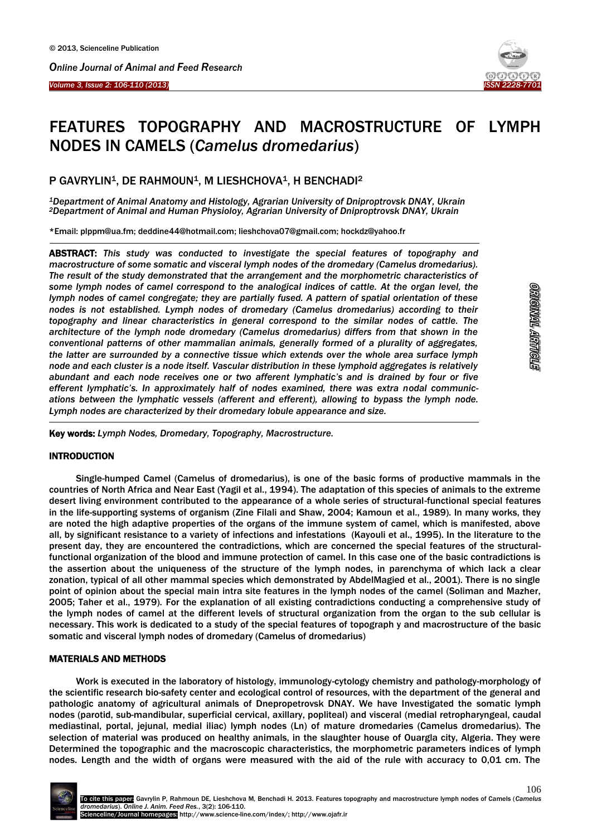



# FEATURES TOPOGRAPHY AND MACROSTRUCTURE OF LYMPH NODES IN CAMELS (*Camelus dromedarius*)

## P GAVRYLIN<sup>1</sup>, DE RAHMOUN<sup>1</sup>, M LIESHCHOVA<sup>1</sup>, H BENCHADI<sup>2</sup>

*<sup>1</sup>Department of Animal Anatomy and Histology, Agrarian University of Dniproptrovsk DNAY, Ukrain <sup>2</sup>Department of Animal and Human Physioloy, Agrarian University of Dniproptrovsk DNAY, Ukrain*

\*Email: [plppm@ua.fm;](mailto:plppm@ua.fm) [deddine44@hotmail.com;](mailto:deddine44@hotmail.com) [lieshchova07@gmail.com;](mailto:lieshchova07@gmail.com) hockdz@yahoo.fr

ABSTRACT: *This study was conducted to investigate the special features of topography and macrostructure of some somatic and visceral lymph nodes of the dromedary (Camelus dromedarius). The result of the study demonstrated that the arrangement and the morphometric characteristics of some lymph nodes of camel correspond to the analogical indices of cattle. At the organ level, the lymph nodes of camel congregate; they are partially fused. A pattern of spatial orientation of these nodes is not established. Lymph nodes of dromedary (Camelus dromedarius) according to their topography and linear characteristics in general correspond to the similar nodes of cattle. The architecture of the lymph node dromedary (Camelus dromedarius) differs from that shown in the conventional patterns of other mammalian animals, generally formed of a plurality of aggregates, the latter are surrounded by a connective tissue which extends over the whole area surface lymph node and each cluster is a node itself. Vascular distribution in these lymphoid aggregates is relatively abundant and each node receives one or two afferent lymphatic's and is drained by four or five efferent lymphatic's. In approximately half of nodes examined, there was extra nodal communications between the lymphatic vessels (afferent and efferent), allowing to bypass the lymph node. Lymph nodes are characterized by their dromedary lobule appearance and size.*

Key words: *Lymph Nodes, Dromedary, Topography, Macrostructure.*

## INTRODUCTION

-

 $\overline{\phantom{a}}$ 

Single-humped Camel (Camelus of dromedarius), is one of the basic forms of productive mammals in the countries of North Africa and Near East (Yagil et al., 1994). The adaptation of this species of animals to the extreme desert living environment contributed to the appearance of a whole series of structural-functional special features in the life-supporting systems of organism (Zine Filali and Shaw, 2004; Kamoun et al., 1989). In many works, they are noted the high adaptive properties of the organs of the immune system of camel, which is manifested, above all, by significant resistance to a variety of infections and infestations (Kayouli et al., 1995). In the literature to the present day, they are encountered the contradictions, which are concerned the special features of the structuralfunctional organization of the blood and immune protection of camel. In this case one of the basic contradictions is the assertion about the uniqueness of the structure of the lymph nodes, in parenchyma of which lack a clear zonation, typical of all other mammal species which demonstrated by AbdelMagied et al., 2001). There is no single point of opinion about the special main intra site features in the lymph nodes of the camel (Soliman and Mazher, 2005; Taher et al., 1979). For the explanation of all existing contradictions conducting a comprehensive study of the lymph nodes of camel at the different levels of structural organization from the organ to the sub cellular is necessary. This work is dedicated to a study of the special features of topograph y and macrostructure of the basic somatic and visceral lymph nodes of dromedary (Camelus of dromedarius)

## MATERIALS AND METHODS

Work is executed in the laboratory of histology, immunology-cytology chemistry and pathology-morphology of the scientific research bio-safety center and ecological control of resources, with the department of the general and pathologic anatomy of agricultural animals of Dnepropetrovsk DNAY. We have Investigated the somatic lymph nodes (parotid, sub-mandibular, superficial cervical, axillary, popliteal) and visceral (medial retropharyngeal, caudal mediastinal, portal, jejunal, medial iliac) lymph nodes (Ln) of mature dromedaries (Camelus dromedarius). The selection of material was produced on healthy animals, in the slaughter house of Ouargla city, Algeria. They were Determined the topographic and the macroscopic characteristics, the morphometric parameters indices of lymph nodes. Length and the width of organs were measured with the aid of the rule with accuracy to 0,01 cm. The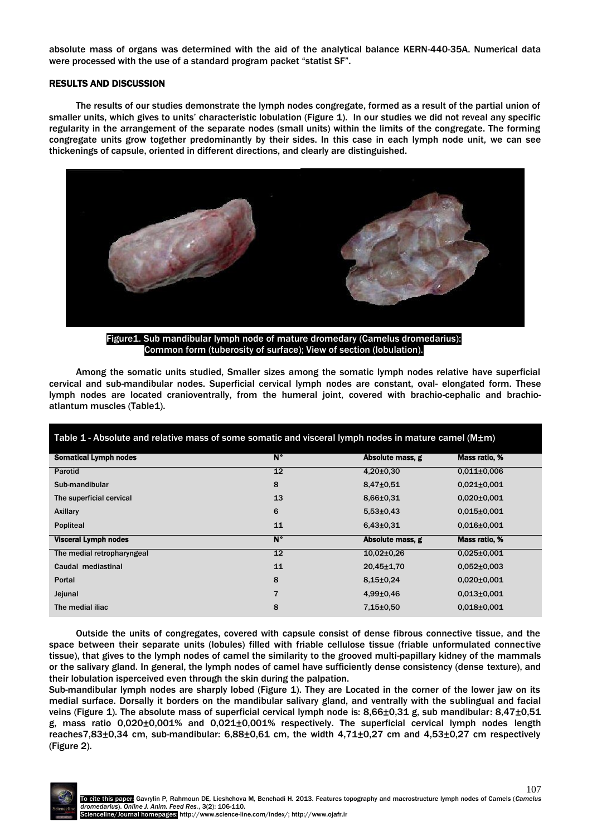absolute mass of organs was determined with the aid of the analytical balance KERN-440-35A. Numerical data were processed with the use of a standard program packet "statist SF".

#### RESULTS AND DISCUSSION

The results of our studies demonstrate the lymph nodes congregate, formed as a result of the partial union of smaller units, which gives to units' characteristic lobulation (Figure 1). In our studies we did not reveal any specific regularity in the arrangement of the separate nodes (small units) within the limits of the congregate. The forming congregate units grow together predominantly by their sides. In this case in each lymph node unit, we can see thickenings of capsule, oriented in different directions, and clearly are distinguished.



Figure1. Sub mandibular lymph node of mature dromedary (Camelus dromedarius): Common form (tuberosity of surface); View of section (lobulation).

Among the somatic units studied, Smaller sizes among the somatic lymph nodes relative have superficial cervical and sub-mandibular nodes. Superficial cervical lymph nodes are constant, oval- elongated form. These lymph nodes are located cranioventrally, from the humeral joint, covered with brachio-cephalic and brachioatlantum muscles (Table1).

## Table 1 - Absolute and relative mass of some somatic and visceral lymph nodes in mature camel ( $M\pm m$ )

| <b>Somatical Lymph nodes</b> | $\overline{\mathsf{N}^{\bullet}}$ | Absolute mass, g | Mass ratio, %     |
|------------------------------|-----------------------------------|------------------|-------------------|
| Parotid                      | 12                                | $4,20\pm0.30$    | $0.011 \pm 0.006$ |
| Sub-mandibular               | 8                                 | $8,47{\pm}0,51$  | $0.021 \pm 0.001$ |
| The superficial cervical     | 13                                | $8,66 \pm 0.31$  | $0.020 \pm 0.001$ |
| Axillary                     | 6                                 | $5,53\pm0.43$    | $0.015 \pm 0.001$ |
| <b>Popliteal</b>             | 11                                | $6,43\pm0.31$    | $0.016 \pm 0.001$ |
|                              |                                   |                  |                   |
| <b>Visceral Lymph nodes</b>  | N°                                | Absolute mass, g | Mass ratio, %     |
| The medial retropharyngeal   | 12                                | $10.02 \pm 0.26$ | $0.025 \pm 0.001$ |
| Caudal mediastinal           | 11                                | $20,45 \pm 1,70$ | $0.052 \pm 0.003$ |
| Portal                       | 8                                 | $8,15 \pm 0,24$  | $0.020 \pm 0.001$ |
| Jejunal                      | $\overline{7}$                    | $4.99 \pm 0.46$  | $0.013 \pm 0.001$ |

Outside the units of congregates, covered with capsule consist of dense fibrous connective tissue, and the space between their separate units (lobules) filled with friable cellulose tissue (friable unformulated connective tissue), that gives to the lymph nodes of camel the similarity to the grooved multi-papillary kidney of the mammals or the salivary gland. In general, the lymph nodes of camel have sufficiently dense consistency (dense texture), and their lobulation isperceived even through the skin during the palpation.

Sub-mandibular lymph nodes are sharply lobed (Figure 1). They are Located in the corner of the lower jaw on its medial surface. Dorsally it borders on the mandibular salivary gland, and ventrally with the sublingual and facial veins (Figure 1). The absolute mass of superficial cervical lymph node is: 8,66±0,31 g, sub mandibular: 8,47±0,51 g, mass ratio 0,020±0,001% and 0,021±0,001% respectively. The superficial cervical lymph nodes length reaches7,83±0,34 cm, sub-mandibular: 6,88±0,61 cm, the width 4,71±0,27 cm and 4,53±0,27 cm respectively (Figure 2).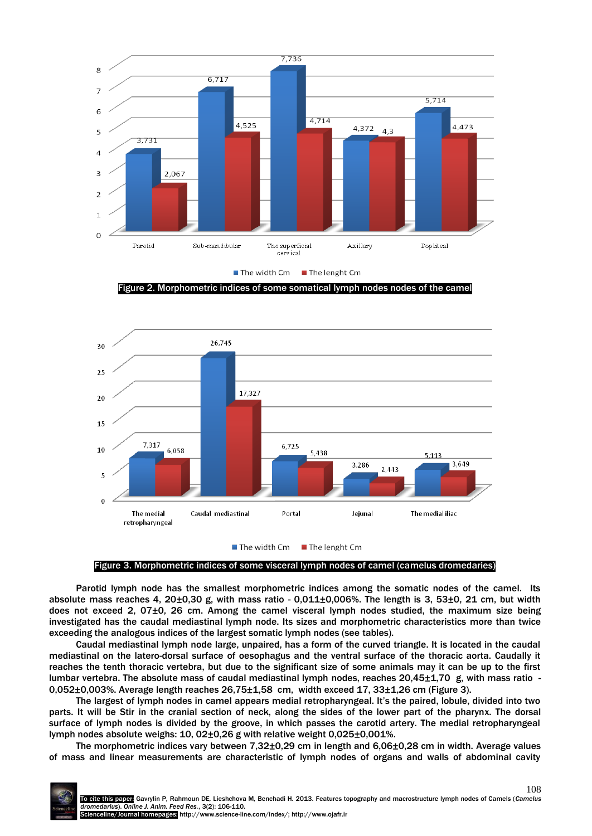

Figure 2. Morphometric indices of some somatical lymph nodes nodes of the camel



Figure 3. Morphometric indices of some visceral lymph nodes of camel (camelus dromedaries)

Parotid lymph node has the smallest morphometric indices among the somatic nodes of the camel. Its absolute mass reaches 4, 20 $\pm$ 0,30 g, with mass ratio - 0,011 $\pm$ 0,006%. The length is 3, 53 $\pm$ 0, 21 cm, but width does not exceed 2, 07±0, 26 cm. Among the camel visceral lymph nodes studied, the maximum size being investigated has the caudal mediastinal lymph node. Its sizes and morphometric characteristics more than twice exceeding the analogous indices of the largest somatic lymph nodes (see tables).

Caudal mediastinal lymph node large, unpaired, has a form of the curved triangle. It is located in the caudal mediastinal on the latero-dorsal surface of oesophagus and the ventral surface of the thoracic aorta. Caudally it reaches the tenth thoracic vertebra, but due to the significant size of some animals may it can be up to the first lumbar vertebra. The absolute mass of caudal mediastinal lymph nodes, reaches 20,45±1,70 g, with mass ratio - 0,052±0,003%. Average length reaches 26,75±1,58 cm, width exceed 17, 33±1,26 cm (Figure 3).

The largest of lymph nodes in camel appears medial retropharyngeal. It's the paired, lobule, divided into two parts. It will be Stir in the cranial section of neck, along the sides of the lower part of the pharynx. The dorsal surface of lymph nodes is divided by the groove, in which passes the carotid artery. The medial retropharyngeal lymph nodes absolute weighs: 10, 02±0,26 g with relative weight 0,025±0,001%.

The morphometric indices vary between 7,32±0,29 cm in length and 6,06±0,28 cm in width. Average values of mass and linear measurements are characteristic of lymph nodes of organs and walls of abdominal cavity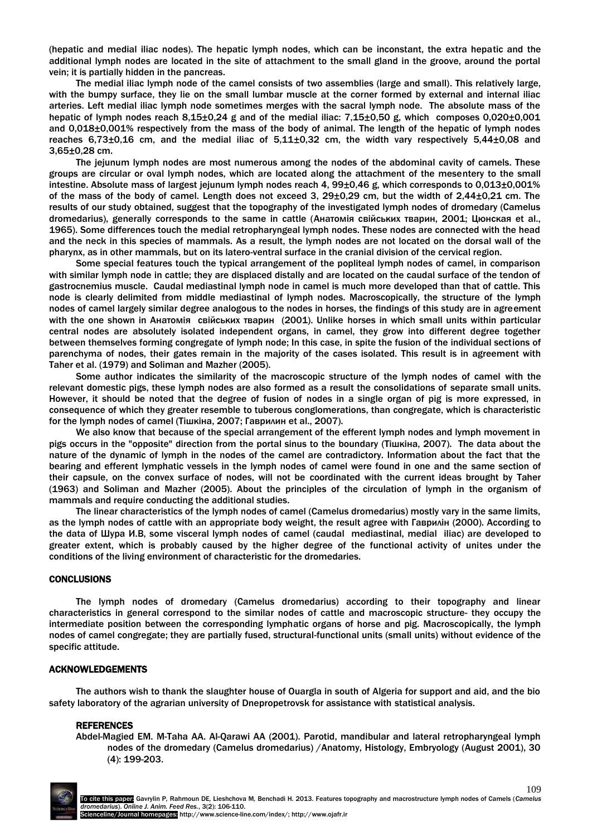(hepatic and medial iliac nodes). The hepatic lymph nodes, which can be inconstant, the extra hepatic and the additional lymph nodes are located in the site of attachment to the small gland in the groove, around the portal vein; it is partially hidden in the pancreas.

The medial iliac lymph node of the camel consists of two assemblies (large and small). This relatively large, with the bumpy surface, they lie on the small lumbar muscle at the corner formed by external and internal iliac arteries. Left medial iliac lymph node sometimes merges with the sacral lymph node. The absolute mass of the hepatic of lymph nodes reach 8,15±0,24 g and of the medial iliac: 7,15±0,50 g, which composes 0,020±0,001 and 0,018±0,001% respectively from the mass of the body of animal. The length of the hepatic of lymph nodes reaches 6,73±0,16 cm, and the medial iliac of 5,11±0,32 cm, the width vary respectively 5,44±0,08 and 3,65±0,28 cm.

The jejunum lymph nodes are most numerous among the nodes of the abdominal cavity of camels. These groups are circular or oval lymph nodes, which are located along the attachment of the mesentery to the small intestine. Absolute mass of largest jejunum lymph nodes reach 4, 99±0,46 g, which corresponds to 0,013±0,001% of the mass of the body of camel. Length does not exceed 3, 29±0,29 cm, but the width of 2,44±0,21 cm. The results of our study obtained, suggest that the topography of the investigated lymph nodes of dromedary (Camelus dromedarius), generally corresponds to the same in cattle (Анатомія свійських тварин, 2001; Цюнская et al., 1965). Some differences touch the medial retropharyngeal lymph nodes. These nodes are connected with the head and the neck in this species of mammals. As a result, the lymph nodes are not located on the dorsal wall of the pharynx, as in other mammals, but on its latero-ventral surface in the cranial division of the cervical region.

Some special features touch the typical arrangement of the popliteal lymph nodes of camel, in comparison with similar lymph node in cattle; they are displaced distally and are located on the caudal surface of the tendon of gastrocnemius muscle. Caudal mediastinal lymph node in camel is much more developed than that of cattle. This node is clearly delimited from middle mediastinal of lymph nodes. Macroscopically, the structure of the lymph nodes of camel largely similar degree analogous to the nodes in horses, the findings of this study are in agreement with the one shown in Анатомія свійських тварин (2001). Unlike horses in which small units within particular central nodes are absolutely isolated independent organs, in camel, they grow into different degree together between themselves forming congregate of lymph node; In this case, in spite the fusion of the individual sections of parenchyma of nodes, their gates remain in the majority of the cases isolated. This result is in agreement with Taher et al. (1979) and Soliman and Mazher (2005).

Some author indicates the similarity of the macroscopic structure of the lymph nodes of camel with the relevant domestic pigs, these lymph nodes are also formed as a result the consolidations of separate small units. However, it should be noted that the degree of fusion of nodes in a single organ of pig is more expressed, in consequence of which they greater resemble to tuberous conglomerations, than congregate, which is characteristic for the lymph nodes of camel (Тішкіна, 2007; Гаврилин et al., 2007).

We also know that because of the special arrangement of the efferent lymph nodes and lymph movement in pigs occurs in the "opposite" direction from the portal sinus to the boundary (Тішкіна, 2007). The data about the nature of the dynamic of lymph in the nodes of the camel are contradictory. Information about the fact that the bearing and efferent lymphatic vessels in the lymph nodes of camel were found in one and the same section of their capsule, on the convex surface of nodes, will not be coordinated with the current ideas brought by Taher (1963) and Soliman and Mazher (2005). About the principles of the circulation of lymph in the organism of mammals and require conducting the additional studies.

The linear characteristics of the lymph nodes of camel (Camelus dromedarius) mostly vary in the same limits, as the lymph nodes of cattle with an appropriate body weight, the result agree with Гаврилін (2000). According to the data of Шура И.В, some visceral lymph nodes of camel (caudal mediastinal, medial iliac) are developed to greater extent, which is probably caused by the higher degree of the functional activity of unites under the conditions of the living environment of characteristic for the dromedaries.

#### **CONCLUSIONS**

The lymph nodes of dromedary (Camelus dromedarius) according to their topography and linear characteristics in general correspond to the similar nodes of cattle and macroscopic structure- they occupy the intermediate position between the corresponding lymphatic organs of horse and pig. Macroscopically, the lymph nodes of camel congregate; they are partially fused, structural-functional units (small units) without evidence of the specific attitude.

#### ACKNOWLEDGEMENTS

The authors wish to thank the slaughter house of Ouargla in south of Algeria for support and aid, and the bio safety laboratory of the agrarian university of Dnepropetrovsk for assistance with statistical analysis.

#### **REFERENCES**

Abdel-Magied EM. M-Taha AA. Al-Qarawi AA (2001). Parotid, mandibular and lateral retropharyngeal lymph nodes of the dromedary (Camelus dromedarius) /Anatomy, Histology, Embryology (August 2001), 30 (4): 199-203.